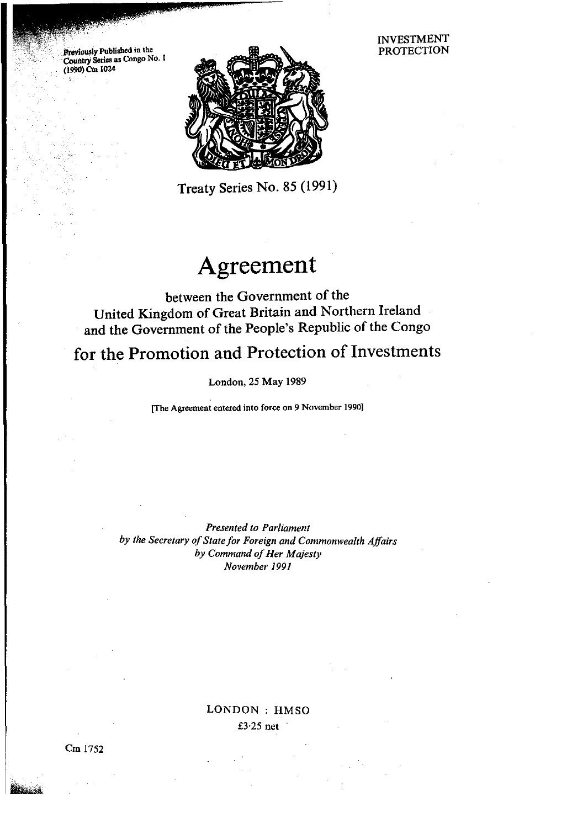## INVESTMENT PROTECTION

Previously Published in the . . Country Series as Congo No. 1 (1990) Cm 1024



Treaty Series No. 85 (1991)

# **Agreement**

between the Government of the United Kingdom of Great Britain and Northern Ireland and the Government of the People's Republic of the Congo

# for the Promotion and Protection of Investments

# London, 25 May 1989

**{The Agreement entered into force on 9 November 1990]** 

*Presented to Parliament by the Secretary of State for Foreign and Commonwealth Affairs by Command of Her Majesty November 1991* 

> LONDON: HMSO £3·25 net

em 1752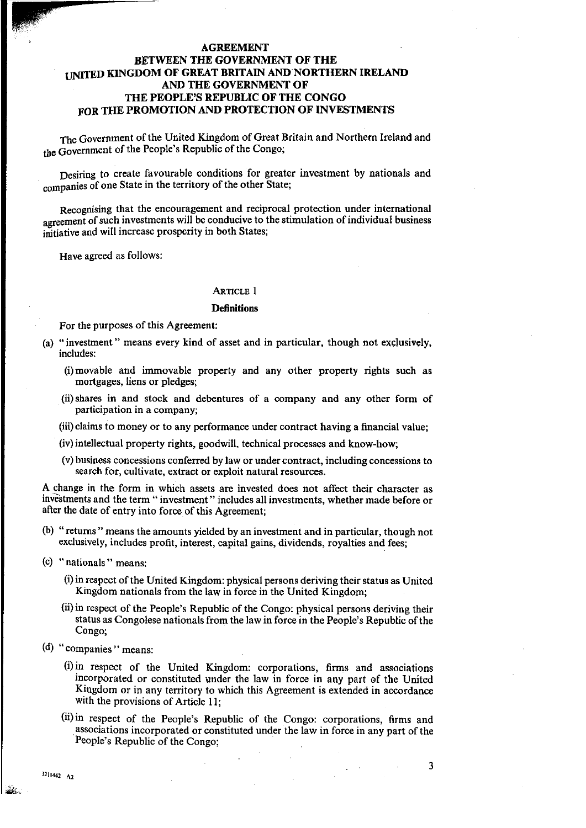## **AGREEMENT BETWEEN THE GOVERNMENT OF THE UNITED KINGDOM OF GREAT BRITAIN** AND NORTHERN **IRELAND AND THE GOVERNMENT OF THE PEOPLE'S REPUBLIC OF THE CONGO FOR THE PROMOTION AND PROTECTION OF INVESTMENTS**

The Government of the United Kingdom of Great Britain and Northern Ireland and the Government of the People's Republic of the Congo;

Desiring to create favourable conditions for greater investment by nationals and companies of one State in the territory of the other State;

Recognising that the encouragement and reciprocal protection under international agreement of such investments will be conducive to the stimulation of individual business initiative and will increase prosperity in both States;

Have agreed as follows:

#### ARTICLE I

#### **Definitions**

For the purposes of this Agreement:

- (a) "investment" means every kind of asset and in particular, though not exclusively, includes:
	- (i) movable and immovable property and any other property rights such as mortgages, liens or pledges;
	- (ii) shares in and stock and debentures of a company and any other form of participation in a company;
	- (iii) claims to money or to any performance under contract having a financial value;
	- (iv) intellectual property rights, goodwill, technical processes and know-how;
	- (v) business concessions conferred by law or under contract, including concessions to search for, cultivate, extract or exploit natural resources.

A change in the form in which assets are invested does not affect their character as investments and the term" investment" includes all investments, whether made before or after the date of entry into force of this Agreement;

- (b) "returns" means the amounts yielded by an investment and in particular, though not exclusively, includes profit, interest, capital gains, dividends, royalties and fees;
- (c) "nationals" means:
	- (i) in respect of the United Kingdom: physical persons deriving their status as United Kingdom nationals from the law in force in the United Kingdom;
	- (ii) in respect of the People's Republic of the Congo: physical persons deriving their status as Congolese nationals from the law in force in the People's Republic of the Congo;
- (d) "companies" means:
	- (i) in respect of the United Kingdom: corporations, firms and associations incorporated or constituted under the law in force in any part of the United Kingdom or in any territory to which this Agreement is extended in accordance with the provisions of Article 11;
	- (ii) in respect of the People's Republic of the Congo: corporations, firms and . associations incorporated or constituted under the law in force in any part of the People's Republic of the Congo;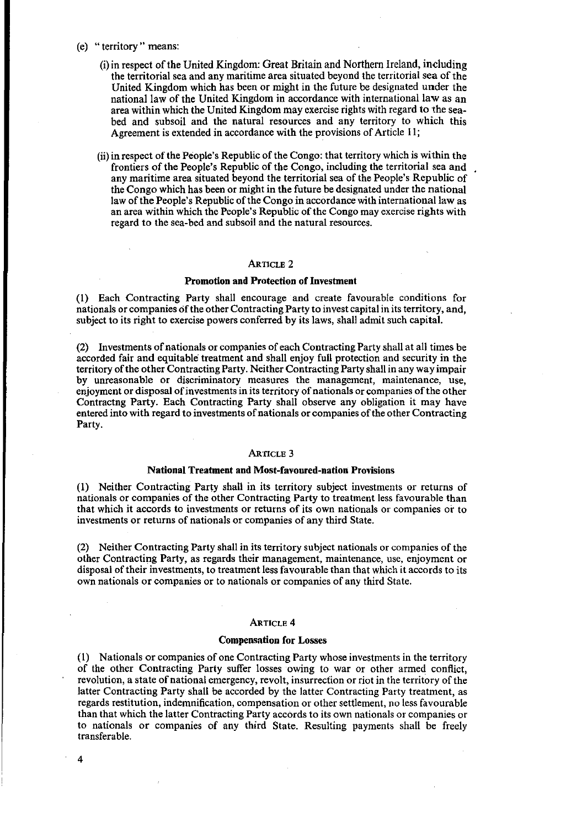#### (e) "territory" means:

- (i) in respect of the United Kingdom: Great Britain and Northern Ireland, induding the territorial sea and any maritime area situated beyond the territorial sea of the United Kingdom which has been or might in the future be designated under the national law of the United Kingdom in accordance with international law as an area within which the United Kingdom may exercise rights with regard to the seabed and subsoil and the natural resources and any territory to which this Agreement is extended in accordance with the provisions of Article II;
- (ii) in respect of the People's Republic of the Congo: that territory which is wi thin the frontiers of the People's Republic of the Congo, including the territorial sea and any maritime area situated beyond the territorial sea of the People's Republic of the Congo which has been or might in the future be designated under the national law of the People's Republic of the Congo in accordance with international law as an area within which the People's Republic of the Congo may exercise rights with regard to the sea-bed and subsoil and the natural resources.

## ARTICLE 2

#### Promotion and Protection of Investment

(I) Each Contracting Party shall encourage and create favourable conditions for nationals or companies of the other Contracting Party to invest capital in its territory, and, subject to its right to exercise powers conferred by its laws, shall admit such capital.

(2) Investments of nationals or companies of each Contracting Party shall at all times be accorded fair and equitable treatment and shall enjoy full protection and security in the territory of the other Contracting Party. Neither Contracting Party shall in any way impair by unreasonable or discriminatory measures the management, maintenance, use, enjoyment or disposal of investments in its territory of nationals or companies ofthe other Contractng Party. Each Contracting Party shall observe any obligation it may have entered into with regard to investments of nationals or companies ofthe other Contracting Party.

#### ARTICLE 3

## National Treatment and Most-favoured-nation Provisions

(1) Neither Contracting Party shall in its territory subject investments or returns of nationals or companies of the other Contracting Party to treatment less favourable than that which it accords to investments or returns of its own nationals or companies or to investments or returns of nationals or companies of any third State.

(2) Neither Contracting Party shall in its territory subject nationals or companies of the other Contracting Party, as regards their management, maintenance, use, enjoyment or disposal of their investments, to treatment less favourable than that which it accords to its own nationals or companies or to nationals or companies of any third State.

#### ARTICLE 4

#### Compensation for Losses

(1) Nationals or companies of one Contracting Party whose investments in the territory of the other Contracting Party suffer losses owing to war or other armed conflict, revolution, a state of national emergency, revolt, insurrection or riot in the territory of the latter Contracting Party shall be accorded by the latter Contracting Party treatment, as regards restitution, indemnification, compensation or other settlement, no less favourable than that which the latter Contracting Party accords to its own nationals or companies or to nationals or companies of any third State. Resulting payments shall be freely transferable.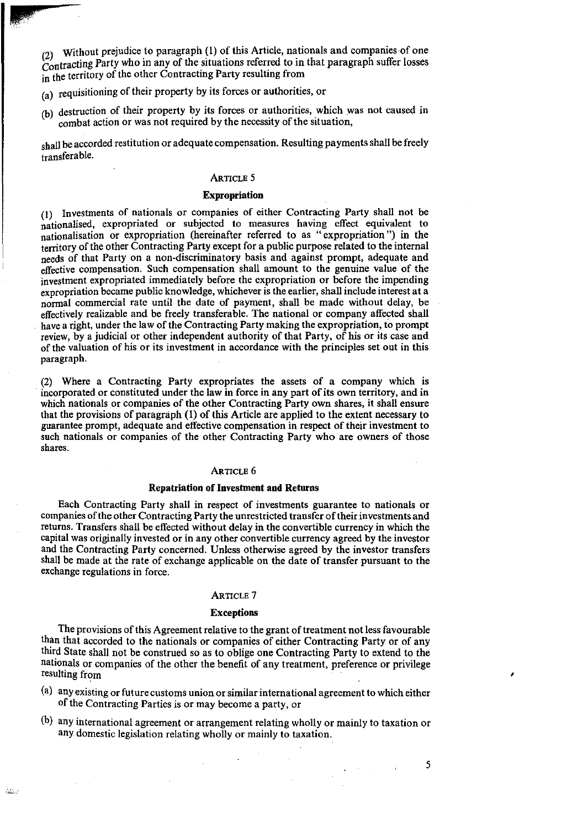(2) Without prejudice to paragraph (1) of this Article, nationals and companies·of one Contracting Party who in any of the situations referred to in that paragraph suffer losses in the territory of the other Contracting Party resulting from

- (a) requisitioning of their property by its forces or authorities, or
- (b) destruction of their property by its forces or authorities, which was not caused in combat action or was not required by the necessity of the situation,

shall be accorded restitution or adequate compensation. Resulting payments shall be freely transferable.

## ARTICLE 5

## **Expropriation**

(1) Investments of nationals or companies of either Contracting Party shall not be nationalised, expropriated or subjected to measures having effect equivalent to nationalisation or expropriation (hereinafter referred to as "expropriation") in the territory of the other Contracting Party except for a public purpose related to the internal needs of that Party on a non-discriminatory basis and against prompt, adequate and effective compensation. Such compensation shall amount to the genuine value of the investment expropriated immediately before the expropriation or before the impending expropriation became public knowledge, whichever is the earlier, shall include interest at a normal commercial rate until the date of payment, shall be made without delay, be effectively realizable and be freely transferable. The national or company affected shall have a right, under the law of the Contracting Party making the expropriation, to prompt review, by a judicial or other independent authority of that Party, of his or its case and of the valuation of his or its investment in accordance with the principles set out in this paragraph.

(2) Where a Contracting Party expropriates the assets of a company which is . incorporated or constituted under the law in force in any part of its own territory, and in which nationals or companies of the other Contracting Party own shares, it shall ensure that the provisions of paragraph (1) of this Article are applied to the extent necessary to guarantee prompt, adequate and effective compensation in respect of their investment to such nationals or companies of the other Contracting Party who are owners of those shares.

#### ARTICLE 6

#### **Repatriation of Investment and Retorns**

Each Contracting Party shall in respect of investments guarantee to nationals or companies of the other Contracting Party the unrestricted transfer of their investments and returns. Transfers shall be effected without delay in the convertible currency in which the capital was originally invested or in any other convertible currency agreed by the investor and the Contracting Party concerned. Unless otherwise agreed by the investor transfers shall be made at the rate of exchange applicable on the date of transfer pursuant to the exchange regulations in force.

#### ARTICLE 7

#### **Exceptions**

The provisions of this Agreement relative to the grant of treatment not less favourable than that accorded to the nationals or companies of either Contracting Party or of any third State shall not be construed so as to oblige one Contracting Party to extend to the nationals or companies of the other the benefit of any treatment, preference or privilege resulting from

- (a) any existing or future customs union or similarinternational agreement to which either of the Contracting Parties is or may become a party, or
- (b) any international agreement or arrangement relating wholly or mainly to taxation or any domestic legislation relating wholly or mainly to taxation.

المنفثة

 $\frac{1}{2} \left( \frac{1}{2} \right) \left( \frac{1}{2} \right)$ 

,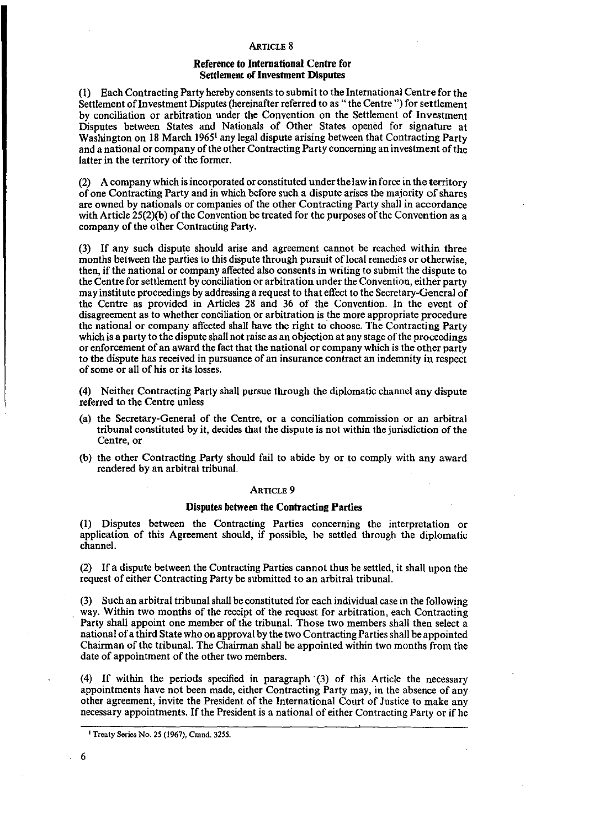#### ARTICLE 8

## Reference to International Centre for Settlement of Investment Disputes

(I) Each Contracting Party hereby consents to submit to the International Centre for the Settlement of Investment Disputes (hereinafter referred to as " the Centre ") for settlement by conciliation or arbitration under the Convention on the Settlement of Investment Disputes between States and Nationals of Other States opened for signature at Washington on 18 March 1965' any legal dispute arising between that Contracting Party and a national or company of the other Contracting Party concerning an investment of the latter in the territory of the former.

(2) A company which is incorporated or constituted under the law in force in the territory of one Contracting Party and in which before such a dispute arises the majority of shares are owned by nationals or companies of the other Contracting Party shall in accordance with Article  $25(2)(b)$  of the Convention be treated for the purposes of the Convention as a company of the other Contracting Party.

(3) If any such dispute should arise and agreement cannot be reached within three months between the parties to this dispute through pursuit of local remedies or otherwise, then, if the national or company affected also consents in writing to submit the dispute to the Centre for settlement by conciliation or arbitration under the Convention, either party may institute proceedings by addressing a request to that effect to the Secretary-General of the Centre as provided in Articles 28 and 36 of the Convention. In the event of disagreement as to whether conciliation or arbitration is the more appropriate procedure the national or company affected shall have the right to choose. The Contracting Party which is a party to the dispute shall not raise as an objection at any stage of the proceedings or enforcement of an award the fact that the national or company which is the other party to the dispute has received in pursuance of an insurance contract an indemnity in respect of some or all of his or its losses.

(4) Neither Contracting Party shall pursue through the diplomatic channel any dispute referred to the Centre unless

- (a) the Secretary-General of the Centre, or a conciliation commission or an arbitral tribunal constituted by it, decides that the dispute is not within the jurisdiction of the Centre, or
- (b) the other Contracting Party should fail to abide by or to comply with any award rendered by an arbitral tribunal.

#### ARTICLE 9

#### Disputes between the Contracting Parties

(I) Disputes between the Contracting Parties concerning the interpretation or application of this Agreement should, if possible, be settled through the diplomatic channel.

(2) If a dispute between the Contracting Parties cannot thus be settled, it shall upon the request of either Contracting Party be submitted to an arbitral tribunal.

(3) Such an arbitral tribunal shall be constituted for each individual case in the following way. Within two months of the receipt of the request for arbitration, each Contracting Party shall appoint one member of the tribunal. Those two members shall then select a national of a third State who on approval by the two Contracting Parties shall be appointed Chairman of the tribunal. The Chairman shall be appointed within two months from the date of appointment of the other two members.

(4) If within the periods specified in paragraph· (3) of this Article the necessary appointments have not been made, either Contracting Party may, in the absence of any other agreement, invite the President of the International Court of Justice to make any necessary appointments. If the President is a national of either Contracting Party or if he

<sup>I</sup>Treaty Series No. 25 (1967), Cmnd. 3255.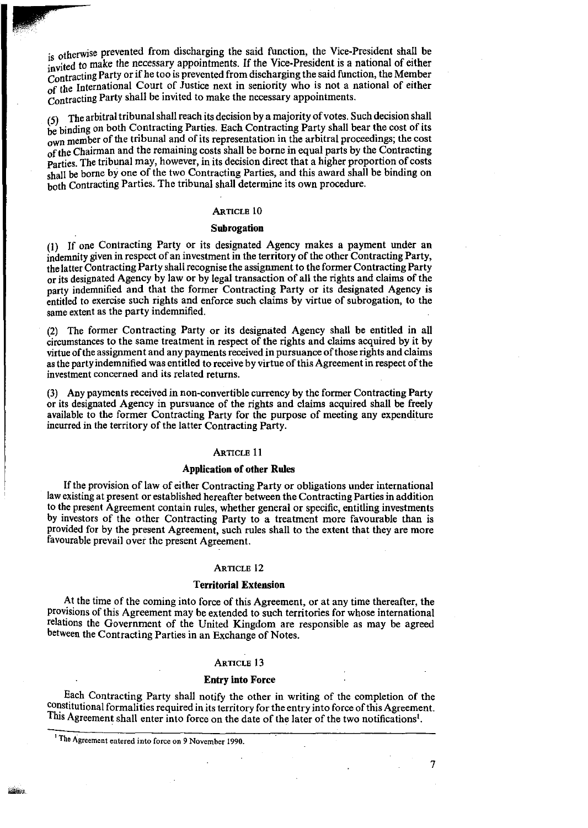is otherwise prevented from discharging the said function, the Vice-President shall be is viewed to make the necessary appointments. If the Vice-President is a national of either ~ontracting Party or if he too is prevented from discharging the said function, the Member for the International Court of Justice next in seniority who is not a national of either ~ontracting Party shall be invited to make the necessary appointments.

(5) The arbitral tribunal shall reach its decision by a majority of votes. Such decision shall be binding on both Contracting Parties. Each Contracting Party shall bear the cost of its own member of the tribunal and of its representation in the arbitral proceedings; the cost of the Chairman and the remaining costs shall be borne in equal parts by the Contracting Parties. The tribunal may, however, in its decision direct that a higher proportion of costs shall be borne by one of the two Contracting Parties, and this award shall be binding on both Contracting Parties. The tribunal shall determine its own procedure.

## ARTICLE 10

#### **Subrogation**

(I) If one Contracting Party or its designated Agency makes a payment under an indemnity given in respect of an investment in the territory of the other Contracting Party, the latter Contracting Party shall recognise the assignment to the former Contracting Party or its designated Agency by law or by legal transaction of all the rights and claims of the party indemnified and that the former Contracting Party or its designated Agency is entitled to exercise such rights and enforce such claims by virtue of subrogation, to the same extent as the party indemnified.

(2) The former Contracting Party or its designated Agency shall be entitled in all circumstances to the same treatment in respect of the rights and claims acquired by it by virtue of the assignment and any payments received in pursuance of those rights and claims as the party indemnified was entitled to receive by virtue of this Agreement in respect of the investment concerned and its related returns.

(3) Any payments received in non-convertible currency by the former Contracting Party or its designated Agency in pursuance of the rights and claims acquired shall be freely available to the former Contracting Party for the purpose of meeting any expenditure incurred in the territory of the latter Contracting Party.

#### ARTICLE II

#### Application of other Rules

If the provision of law of either Contracting Party or obligations under international law existing at present or established hereafter between the Contracting Parties in addition to the present Agreement contain rules, whether general or specific, entitling investments by investors of the other Contracting Party to a treatment more favourable than is provided for by the present Agreement, such rules shall to the extent that they are more favourable prevail over the present Agreement.

#### ARTICLE 12

#### **Territorial Extension**

At the time of the coming into force of this Agreement, or at any time thereafter, the provisions of this Agreement may be extended to such territories for whose international relations the Government of the United Kingdom are responsible as may be agreed between the Contracting Parties in an Exchange of Notes.

### ARTICLE 13

#### Entry into Force

Each Contracting Party shall notify the other in writing of the completion of the constitutional formalities required in its territory for the entry into force of this Agreement. This Agreement shall enter into force on the date of the later of the two notifications'.

<sup>1</sup> The Agreement entered into force on 9 November 1990.

**SERIES**